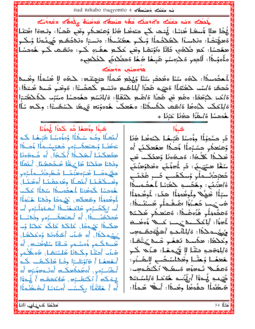ad Bshabo Daqyomto 4 مَلْمَعْلَمَ Had Bshabo Daqyomto

لَهُكُا هِلاٍ وَّسِعْدا هُزِمًا: لَهُدَ كُلِّ حَمَّهُما هُلَا وَهِمُعِـٰهُم وِهْلٍ هَدَٰزًا: وِلَـهِوَا اهْتَلَـا ەَمدَّتْتْمَا: ەنْدْمىمْا لْحْكَلْدُهْاْ وُمكْسِ حْكَنْتْمْدَا: ەنْسْبَرا ەنْدْخُصَّى كَيْتْمَنْا وُمكْس همَّحسًا: كَم تَكْثُوهِ، قَاتْلَا وَأَوْتَقَا وَهْدٍ كُكُمْ هَفَّـزِهِ كُــرٍ: وَنُصَّفَ كُــرٍ هُوحسًا ەمُەوَّىمَّا: لَّاحِمِر ەَحْزەمىُر ھَرىمُا ھُھَا ەَحثَّكْرَكَ حْخُلاھِيى

لْمَحْمِسِمَّا: حَجَّه مَّنْا مَعُدَّمِ مَّتْا وَٰلِجْعِرِ هُـماًا حَرْجِنْتُـهِ: حَـجَّهُ اللَّهُ عَمَّاً وهُـمط حَحِهَ: هَ/مُب حَمْتَهُاْ هَجَىء هَجُرْ أَبْلَمْعُيم مَنْسَم حَكْمَتْرَا: هَوِهْبُ شَيْمٌ هُـتَمْلُ: هَ/بُد: كِبْعَدْا: وهُم مْعِ هَدُا وَ/هُـم كِنْقَالِ: وَ/ائسُم حِمْوصِبُا وسَبُبِ كِلَاحِعَتِهِ ا ة/لِمَكَبِ لِمَوْهُلِ وَاشْعَفْ لِلْمُسْلَمَيْنَا: مَعْصَكْتُ هُووتُهُ وَيَعْدِ لِمَسْتَمْتِ الْمُوسَ هُ حمْلاً وَٱمكُرَّا حوَّلاً حَدُّلًا \*

هْرِذًا وِذَهِمًا ثُمَّ خَلْدًا لُمُوذُمُّا أَمَنَعَـلًا وَهُـه مْــدُلُّا وُهِ وُهِ مُـلٍ هُرَمِهُـلٍ كُــهِ عَمَّعُنَـا وُحمْعَكُمــرُهن كَـعَمِّيشَــماًا وَحَـــدًا مكَمِكْسًا أَحْلِكُما أَكْتُوا. أَو شُـوهَونا ودْهْنَا مِكَكْنَا هَا يَخْا هُدَهُمْمَنَا. ٱعْمَال حكيءكل مُحَرَّم محْبَطَا حُمكَرِدُتُــملَّــوَمِ وقْسِكْفَسًا أَسَّصَلًا وهُرَجِعَيْنَا أُوهُسًا. هُوصاً حُومُنا أَحدُومِهِ الْمَحْمَدِ الْمَحَدَّلِ الْمَحَدَّلِ أُوهُدوَٰهُ! وهَعكس فَيُحِدثُ وَشَمْنًا حَنْزَوْهُ! أَمَّ رَجِّكُحُــرُومِ هَٰالِّدَــمُنَّــداً أَــعــدَّفِـلَـرُومِ أَمَّـ مُعطِّمُتَـــماً. أَه أَحمُعكَــــرُه وذَائـــا مىگىما تېمۇشا. كاڭدا كاڭە تىنا ۋە ىُهُوْمِكُمَا. أَو رَفَّىنَ أَنْقِدُونَكَ وُوْمُحِكْفَا. مَسلالُحمر وُمسُمر صَائل سَاومُعْصَرِ . أو هُمرٌب أُصْتُلُ وكُـٰهُمُلُ هُامُتَنقَالَ هُوَ لَكُـُورِ أَحْمَدَهُمْ أَنْ هَاوَمَا الْمَالِكُ وَحُمْ الْمَسْلَمِينَ مِنْ الْمَدِينَ مِنْ الْمَدِينَ وَالْمَد أَحْتَنِبُونِ. أُوهُددُهذَه أُوتُـوهِ بُومَ أَو لَهُكُمْ أَ ٱكْتَعَبِّرُهِ . هَالْكُعِفْتُ أَ لَيُوَوَّا أَه أَ هَاتَّذُاْ رِجْسَبَ أُوسَائِلِ أَحَقَّصْلَا

كَرِ حِسْوَٰؤُاْ وِؤْدِسُا هَٰٓبُهُا كَتَوَهُمَا هُنَّا وَعِنْعَدُمٍ حَمَّـزَهِ أَا وَحَـدًا مَعَعَنْـمَـنَ أَه تَعْكَمُا لَكُـٰهُا: هُ؎هُ٥ئا وُهنَّكَـٰٮ شَع مَنْقًا هِمَّتَى مِنَّ ذَٰذٍ أُهوَّمَّے وَهْدَوَّمَتَ كَعْبَدُتُــٰه اُب وُسكْفَـــہٖ كَـــرٖ هُمْسًــہِ هُ/هزَّمَٰبَ: وِهَٰكَسهِ لِلْعُزْمُـٰ لِمُعْـُـٰمِـدِلًا مِبَرَٰاً هُجُلًا وِأُوهُدوْأًا هِدًا: أُوهُدوْأًا الْمَسْتَدْمَةُ الْمُتَقَامَةُ وَالْمَسْتَسْمَأَا: ەَھھُەزلُر فُزْەھُىمُّا: ەَھىُصْھُر ھُڪْمُد أَهْدَأُ: أَبْلَكَكُمُمْ يَسْبِرُ كَمِسْكُكُمْ أَوْهَ هُسْتُمْ وْحَمَّاتُ مَاْبِلْلْأَمْدِمِ أَهْلَقُوهُ مَوْمَدَ وحُكْمُا: هِكْمِكْ تَعْصُرِ تَحْمَدُ حَيْتُهَا: هُ/بِمْوَهُدِ دِسْتُمْ إِلَى النَّهُ وَدَوَهُ الْمَرْسَمِينَ مِنْ اللَّهُ وَدَوْمَ اللَّهُ مِنْ اللَ ـ هَعمُـــا وُـمنْــا وهَـمامَـُـمَّــــى لِلـمُـــزُرِ : كَمْكَلا شُمْهُوْهِ مُسْكَلاً أَلْكُتْتَمُمْهَا: تَكَيْبَ وَالْمُرْتَمَّةِ مَسْتَكَبَّرَ مَنْ الْمَحْسَنَةِ مِسْرَحَةٍ رَهُ حَفْدُهُ الْحَدُّهُ وَهُدِهُ السَّلَامُ اللَّهُ وَحَدَاً الْمَحْدَمُ

مَعَدْهُمَا لَهُ مِنْ أَسْمَلْهُمْ أَسْمَلْهُمْ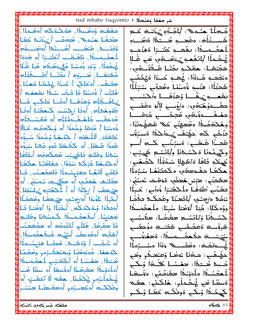Had Bshabo Daqyomto 4 الممكنة المصري حقَقَده وُومُحِيطًا. مِدَهَكَدَ لَا أُومَٰحِهَلَّا. حْسَمْلَهُ هِنَدْهَا: أَبْلَكْتُرَاهِ كَانَتْ فَا كَمْسَرْ منكفا هندها وأمسوه المفاركة هُستُأْلُهُ: ەهُمْسِهِ هُستَمْْا هُاهُسَــزِهِ وْقْتُـــكِ هَنَعْـَــبِ أَهْـــتْكَا أُواقْبَـــرْوُو أهدَّـــوسمًا: بِفَعَـــو كَثَبَـــرَا وَفَرَجَـــو أَهدُ ومداً. تَاقَّعَفُ أَحَتَنَـّ أَه 60% لِلَّٰٓتُ ہِمَّ رِہِ مُسَمَّتِیْ مِسَمَّیْہِ الْمَشْمِلِّ لَمُحْمَلًا. وَحْز وُّمِسُا كَانِ وَهُدَاه هَـا قُلَّا هدُتهْـا: حمَكْـهِ بِدُتْـا مُبِدُّتُنْـِيُونَ، دَهُتعْكَ. مْصْرُوْهِ أَ يَحْتَكَ أَهْصِحْأَوَّلُو مَحْصَـهِ صَـٰٓءُٱا: إِنَّصـهِ كَسَـٰٓءَا هَاجِئَسَـٰبَ محَمفَ، أُمكلكَ أَ حُتْرَا لِحُسْرَا صَحَٰلَ. هُحَبُّلًا: هنَّمو وُّەمْنْدَا ەھُدَانَّے مَنْتِلُلُّا فَائْبَ أَ وُّمِئْنَا دُا دُرَّب سَكَّا بِعْمَيْهِ أَ يْ الْفَجْبَاْهِ وَهَتُوْصًا أُوضًا خُلِكَبٍ صَّا حڤَــوُهُتَدُّەر؛ ەُرُوْــــر اللَّه وەُنْــــر هَّقُوهَجْأَلُهُ . أُودًا رُكِسُب كَنْعَظَيَا أُودًا حمَّىڤُــــەۋُىۋە «مُجِىكُـــــــى خُبْھْـــــا هَرَ دِمَــبِ دَاهُبِڤَــوَذَاءِهُ أَو هَالسَّــدَاهِ وهَكْدُمَكُمُّا مَعُعِجَبُ ۚ كَمِلًا هُعَهُومُنَّا: ؤُهِمَٰنَا أَ حَٰۃِهَا وُعُثُووُۢا أَه وُحَكَّمَٰتُم كَـالًا دَّبْشَہٖ ۚ كَلَّهِ حَوْيَتُهُم مِنَّةٌ مِنْهُمْ مِنْهُمْ مِنْهُمْ مِنْهُمْ مِنْهُمْ مِنْهُمْ مِنْهُ كَلْمْقْتِنِ. لِّلْأُحْثَثَرُهِ أَنْ حَدَّجْنَا وُحْثُوزًا حْسَرَوْهِ هَدْ أَا هُيعًفٍ : هَيْئِنَّبِ كَلَّهِ أَسْر هَٰدُوا هَيغْتَا. أَو يَكَذَّبَعْتَا شُو شَاتَا سْرِؤُو وكَيْدَمُا هَكْسُمْلُا وْأَبْلَسُمْ هُيْرَبّ مَكْمُلْ وَهَاتُمْ دُاهُيمٌ مَحْكُودُهِ أَحْدَاهُا |كَيْݣُو دَّافُا هْ/قَوْلِا سْدُوّْلُا كَشَعَّبِ : أُمكَمْتَنَا خَبِكُمْ سَوُوْلٍ. حَفَامَّتْنَا حَكْمُنَا هَكْعُدَ حَفَّــهُ مِنْ مَكْحَتَنَهُـا مَــَّزَهَـٰهُ! دُاحُبِ لَانُشَا حَقَّ ْبِشَـٰهِ أَا دُاهِجُمْ أَوْبِ دُـا هدهَدَنَامِ : هرَّتَن هُعَدَّه وَ وَوَهَّتَ شَمَعُونَا : هدَاسُك هَهدُم، أَه هدَالِي د شَمسُلُ. أَه حعَّنَنِي ٱهَّةَهَـا مِلْكَعَّتَةِا ذُهَّبٍ: كَـبِلَٰا من معكَب أَعْ جُدّْا أَه أَ لَمْحَدَّتِهِ ﴾ السُّجْتَا. أَحَدُرُا عَلَيْجُوا أُورُودُو مِنْ مِنْكُمْ وَهُدِمْهَا تَنَحُطُ 9ْرُوهَـٰٓى ٱبِلۡكَعِنۡٓءُ ۖ وِهُحكُـٰۂ عَذُمَـٰا ۖ أُهْجَاهُا وُحَكَّكُمْ ﴾. أَحَدَٰاً وَا أَوْهُدَا خُلَّا ووُهكْلا: خَيْلَ أَوْهُمْا مُبِطًا: هلْعَثُمبِهُا مْحَبِّبْلِ. أَحْلَمْحُدْمِحْلِ كَلّْمَتّْحَابُل وَهَاتِمْ لكسَّلَّانُا وْاٰلْكَسَّــمْ هِجَّرْهُــا: هِدَّسْسَبِ دُا مِمَٰہِمٗا. فَالْمِ ٱلمُّدَون اُو مِحۡمِعِنَٰت هْرْوْتْ فْ مْحَكْبْ هْتْتْ فْ مْخْتَصْبْ أَهْتُمُ أَوْهُرَدِهُمَا أَسَيْرِهِ شُدْهِهُمُومِدِدًا. مِّيْ مَسْمَدَةٌ وَالْمُسْمَدِينَ مَسْتَرْشَدِ أَه غُبجُــد أَ وُة هُـــدٌ. هُدمُــا هرُجِنُــدأَا جُ ۖ وَتَصۡدُو ۚ : وَهُدَّـــــــلا ۚ وَوُٱ ا وَحَسَـــٰٓوَا الْمَــــــــوَا الْمَ لِكَمِمْلِ. شُمَمُعُبُلْ وُبِعِنُعِكُبُومِ وِهْضُبًا. حَهُّمَّبٍ: حَـهُنُا عَمْداً وَعَنْعَــكُمْ وَمْبَ هُتَمْلَ. همُسُا أَه أَكْمَنِي أَحْقُصِهَا تْـــدا هُــتدْا: همَّــتُـــا كْلُـــهُا وُـكّـب أْمِلُومُكُمْ هُمُرِهُنَّا أُوتُنْبِعْدَا أَوْ سَلَنَّا هُبْ أَحتَسُدًا مأَهَوْنُدًا همَّرْشَبَ : هَوَّسْعْدا يُحْدَاُجُومِ يُكْشَيْلَ. هِعَلا لَّا تَتَعَمَّى أَو ەَمىلُّا ھَى لَمَحْـواٰر: ھُلگىبِّ: ھھَــلا وظُلْكُ، أُهكَعْسَرُهُمْ أُهْعَدُهُ بِعَضًا عَشَمَتْ ݣَهْكُمُ اوۡكُــِ هُوحُكُــُ مَحۡهُــا وُحُــٰـبِ

تشابهم بالمعتر بمهن تشفلته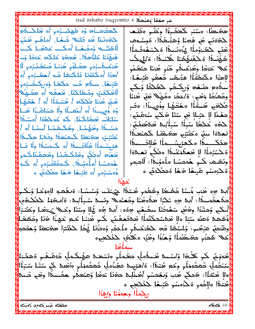مَّمْ حَفْظٌ بِمَنْعَكُمْ [ 4 Had Bshabo Daqyomto كَعْدَدَــْآه وُه هَٰهِكَـــرُه و أَه هَٰلَـــدَهِ هِهَمْعِلًا: مِمْتَرِ كَعِجَرَةًا وِكُتُبٍ مَكَتَب لِهُوسُمَّا هُو كَامُلا شَهْا. أُولمُفُسْ هُبُّ لْكَاةَنَّى هُو فَعَالَ وُهَنَّكُمُّاً: ەُومْـُــەھ هْتَى حْتَدْ.وُه أَا هُزُه نُـمدًا هَـحْـشَـعُـمَـدَاْا فَعَهَّزَمًا خَالَمْهُا. مَحدَّة خَاخَذ تَّتَوْمَ وَب ِّ مُكْتِمًا مَحْفَيَهُمَّا لَكَسُمًا: 16 مِلْكَت هَٰٓ;كَمِكۡلَّــرُومِ هَكَــاٰؤُمٍ هُٰٓ;ـُـا كَمَعۡكُنَّـرُومِ لَّا كْمِلا كَتَرْضًا وِهُنْكُمْلُو ضَرْبِ هُنْمًا صَفْعُسُو أُمِتْرَا أُوحُدَةَ لَمَا أَحْدَثُوا ذُو أَحْفَظُومِ أَو المثرا مكلفَقُلُا هتَيهُب حَمعُدٍ هَبَيمًا: هَبْعُلْ. سَلَامْ كَبْ يَذْهَلْ وُهْرَكْتَكَبُومْ سأەم حَسْمُه وُرِكْحُرِ لِكَلاَثَا وُلَكِ لَٰامَٰتِکُمَٰ، وَشَمَّاجْتَا. مَعْقُد أَه مِنَّـٰهَٰلًا وَحُمْزُهُا وَهْبٍ: هَ/هضَرْ هَضَلا هُنَّى هُزْءُا هَبِّي هُـْمَا شَكْلُهِ أَ هَـْتَـهُلُّا أَه أَ هَّتَـهْلَا طَّهْمٍ هَٰنظُمُّا مَعَّضُمُّا وفُعِيدًا: مصَّر وُّه وُّعِيداً أَه أَسَّصَلَا وِلَا حِسَاهَــزَا هَــا حمَّمُا لِلْ حَبَّىلِلْ هَي مَتْنَا هُكُبِ مُنصَّفَى: <mark>سَاِئاِبٌ شِيمَا ِكْسًا . لَكَ يُدْكَمَهُ</mark>ا أُوسَكُ<mark>ا </mark> لِحْمَى مُلْحَمُّا مُبِلَّا مُبِلَّابِهِ مُحَمَّعُتُبُ: حسَّــدًا وهُمَّـنَــل. وهُكَــمَّنَــل أَمنَــل أَه أَ تَعْدَا سَبِّ مَكْتَبَى هِمَتْقَا لَكْمَنْعَدَا كَتْتَرْسَ، مدة تعتال كَلْعَنْعِدْا وَشَمْنَا مِكْلَمَا هككــــمأا مكْحَرَّمِنْــــمأا هَلِلْكَـــممأا هِجَمِيْدِهِ أَلْ هَكَلاَتُحِيجًا أَو كُنْدَمَتْهَا وِلًا تُنَارَ هَكْتُبُومُاْ لِلْا هُمْهُوَعْتُمُا وَهُكُمْ تَعْلَاهَا مْحَرْرَهِ أَوْضَحُ وَهَاكُنْهُمَا وَهُدْهُمَا كُنْدَبَ ونُهْــما كُــرِ ــفُوصنُــا ولَمُورَّــدًا: لَاصور هُوصُبًا أُولُووُبِيًا. گُودُلِّكُرُونِ أَو گُو ەَ كَرْەمْبُو هُرْمُا ھُھُا ەَحثَكْلاَكَ ﴾ أَوْمَئْتُوْمِرٍ أَوْ هُزُهَا وَهُمَا حَقَلَاتٌ ﴾ |أَلِـمْ هِهِ هُٰنِي فُسُلَ كُهُمهُا وهُهُم هُـتمْلَ حَيُّتَفٌ وُسُسُلًا: هَـفُعـهِ لِلْمَوْحُـلِ وُسُكْـر احكَاهشُوسكُا: أَيم بِهِو حَكِرًا هذُوهُمْا وِحُمْتُو لا وِنَسِمْ سَبِأَبُكِ: وَاسِعُوْمُ حَضَّكَـوْهِ |أَمثْبِ وَحِتْنَا وِهُهُبِ سَعْدَتُنَا مِحْبِهُبِ هِهَه: أَبِيهِ هِهُو لَهااِ وِمَتْنَا وِكْتُ وَكُلُوا وكشَرا أَوْهَمِهِ وَمِنَه مَيْتِا ولا هُهَمَحكْثُماُ! هُهكَمعَّمَنِ ۚ كُـرٍ هُزْسًا كَـم تَـهـزُ! هُنَا وِحْققتا وهَّزَحَعٌ هَزْهُـبِ: وُلْمَنْهَا دَه لِلْعُزْنُدِلُمِ مِلْعَثَمِ وُمِحْرُنًا هُجًا لِلْكُنَّةِ! مِنْهَتها وُحقحو أَكْلًا هَدُو دَهَيعُتُمَا وَحَوْوًا وَهُنَى مَكَلُّهَا كَخُلْصِي وَالْمُسَابَّدِينَ أَهُدوْمَهُ كُـرٍ كَلَـٰاهُ! وَٱمۡـُـدِكَ هُــدَاَّهُ﴾ حمَّـداُرٖ هَنۡتَـعَـدَ هَهُنگَـدَاٚ﴾ خَاهَّـفُـرٖ هَعَـذَاهُ مُنُثُملًا كَعثُوفلُر وكَع هُتمْاً: هَ/فوَيد تعَنُّوه لَ كَعثُوفلُر وَآهَد كَل مَتْتَا مَتَبَلَّالٍ |مالِ هُنَّفَاءُ!: هَحكَّ هُنِي وُبِمُحِسُرٍ أَهُبْنُلِيه حَوْنُا عَوهُا وَعِنْعِدَارٍ حَصَّبِيدًا وقب شيما مُتَمَّا وَلِإِحُمِ مَكْرُوسُرِ هَيُسُلَّ حَذَفِ \* وبجمأا وموذُع ووادا حناف باءحت سه حنفلة  $\pi$ di $\pi$ a 36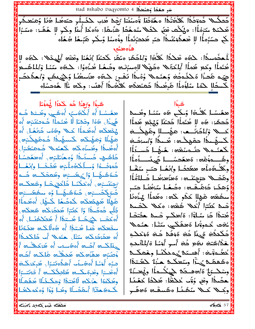Had Bshabo Daqyomto 4 مُنْعَمَّا 4 Had Bshabo Daqyomto كَعِلْمَلا خُووْثُمُّا لَلاَثْثَتُمُّا مِعْقَثْلَا وُّمِنْتُنَا رُضْهَ هُنِي لِلنَّبِلُو حَمَّصًا شُنُا وُعنُعْدُو هَٰلاَمَاءُ مَّتِهُمُّا! وَكَلِّكَ هُمَّ حَفَّلًا مُعَمُّحًا هَ مَعْدًا: وَأُومُا أَمَلًا وِحُلِّ لِإ هُفَّ: ومَمَّإ لَّى حَمَّبُوماً! لِإِ شَعَكَاوْنُتُمَا! حَمَّ شَدَدَبُثُواْ! وِؤُومُا وُحَكَّرٍ هَّبُـِعًا شَعَّاهِ فأهطئهم لْمَحْمَسِمًا: حَجَّه مْحَكَمًا كَلَّجَةًا وَالْحَجَّةِ مَحَّةٍ كَحِسُّاً إِنْعُمَّا وِمْتَحَ أَبْلِحْلا : حَجَّه لِإ هُنَّه أَا وِكُم هُماًا ٱبْلَكْتُلا هَكُهْلا للهمبُرْتُـ۞ وِكُنغُـا هُـزُّهوًّا: نَكْتُلُ وَٱلْمُلْتَف كَهُمْ هَدَٰۥًا هَٰ لِكُمْدَةٌ وَحِمْدُ الرَّهُومُ الرَّهْدِ: لِحَاةُه هَزَى هَدُلاً وَلِحَيْدَهُم وَاحككت كْسِحُلِلْ حَمَٰلُمْ مَثَاوَّدَهُلُّا هُرِهُدِهُلْ حُمْنُعِدِيْنِ كَلَاهُمْدُا أُهِنَتٍ وِجْدِهِ عَلَل هُوجسُلِهِ هْبِوًّا وَرُهِزًا هُم كَلَّالٌ لُّووُّمًا همُسُلم أَه أَحْدَمَــبَ أَه هَــي وهُــتم شُــه ھمَسُل كَلَاهُ! وُلَكَے هُو مَنْنَا وِهُنَكَ فَيْ: ﴿ وَدَٰهُ ﴾ وَهُمَا لَا هُنُمَا ۖ وَحَمَلَتْ وَالَّهُ مِنْ أَوْ حُحهُ: 60 لِلْ هُنُماُ احْصُرُاْ وَٰلِيْمِ هَٰمَا لِحْمِنْكُمْ أُوهُداً لَمَحِلًا وَهُوًا خَرْبُهَا. أُو كَــــلا وْ/اخْتَرْــــم: ههْــــلِلْ وهُهكُـــة مِيْىُلا وْمِيْتِكُمْ بْكَسِيْمِدْا خُومُهِكُمْ و كْسِهُــداً حقهكُـــهِ: مُـــداً وَٱستِكْــة أُوهُدِهُمْ وَهُدَوْهِ لَذَاهِ الْكُمْتُوبِ الْمُحَمَّدُولَ. لَّكْمُسُمْلًا حَشَّمَتْدُهِ: هُنْهُا خَسْبُرُاً! كَاهُبِهِ ۖ حُسْرُهُ ۖ وَمِعْ ُ ُلِيْرَةٍ ﴾ أُومِعُجِسًا خُودْحُـــهُا وَْــــلَكْ۞هَلَـْمِ∞ هَٰحَـُحُـــل وِ}نُـهُـــل وكلأرةهأره معكفكا وإنعا حنبر منغا صُهُشَكُما وَالْمَحْسَنَ وَهُمِصْكَمْ هُـــه وهَٰڪَــلا حرْجِئْــُـره: هَمْزَمنزمُــل حُــلِكَٰۃُلُّا ترجسُّتِره في أوتعكسًا خَلِيْجِهِ حَسَارٍ وقَعِيكُ مِنَ وَهكَـٰز حَاهَّىڤـُهِ: هَـُـُـهُــا مَنْرَهُنَــا حَـُــرِ دُّمَّ جُدَّـــــْرَهَ . دُمَّاصُّــدُ أَوْهِ مَعْقَدَـــْـْرَه معكِّده هَجِلِلم حَدَّمِ حَده: هَهُمَا المُؤَهَّل هَٰذِلًا مَٰذِخَذَتِهِ خُدَحُمَٰ! كُنُوا. أُومَٰدِمَٰا تَسِمْ كَنُتْمَ أَبْعِلاً هُعْدُهِ: هَكُلاً لِحْصَمَ بَاَّبِ خُوجُيجًا وَا يَسَّرَا هُدِجَرَدُو هُمِدْوِي. هُتمْا دَ مُاوَّا: هَ/هكْبِ دْعِي هَتْدَا أُهكشَــز كِيضًــا مُستذاكُ مُعطَكمُسُـا. أُه ءُهَد گدوڙُنا هُمَفَكَي مَتْا: هئُمَلا محْعكُلُو عْبَارِ هُـتَمْا أُو رُوَالِّكُلُو مِكْوَلَا كَـكْـدَاةَ ۚ يَا كَـ وَوَقَـٰهَا كَــَـةٍ ۚ وَتَـكْــدِهِ ۖ وَالْمَـكَــتَ أُه محدِّدُركَه مِّتْلَ. هنُه\ أَب دَٰاكَدِدُا هْذَا، هَنَّهُ يَوْمَ دُوْ أُسِي أَوْسًا وْالْمَاأُبْحِي بِ قَالِكَ مِهْ أَحَدُهِ أُهْدَّدَ أَهْ هُدَكُمْكُ مِهْ أَ لمكْمڤ وتَسْتَمْ يُهْدَى مَا مَتَحَمَّدَ مِنْ مَنْ يَوْسَفَكْ أوتسكان متكَّاره لا مُتَكَلَّات مُلكَّدة أُخَذَّه الْمَتَـٰهُـمْ كَـٰهُمْ وَسَعِيدًا مُـذَا لَكُمْ تَدَهْرَا دِرُه أَفِسًا أُهِهَْدَتَ أَهِدُّهَتَـٰٓ). هُرِكَنِكُـف وسْلَحَمِلْ وَلَهُ هَذَا وَلِيَسْمَعُ الْمَسْمَلَا وَلَهَمْ وَلَمْ يَامَ أُهقَدْ وقَدِهَ كُلُّ هِ هَادِكْكُ هِ أَ قَاتَنْكُمْ وهَكْتَهَا هَزَكْمَ لَلصَّدَا وَحكْتَمَلَا هُكَعَلَا هصَّمُا وهْي وُقُب حُكْفُا: هَكْمًا كَمَّسُـأ لْكُوهُ هَذَا أَحْمَدُ اللَّهُ وَهُدَا وُوْا وُوكُوحُكُمَا وَبَّلْهُ كَلْمُهُ مُتَشَمَّلُ مَقْسَفَةً \$50 مُحَسِّر

تشابهن عردتكر سهقه تتنفقض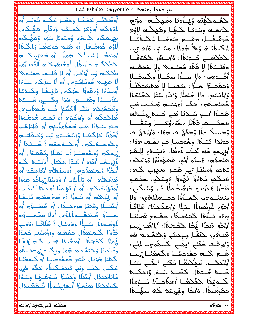Had Bshabo Daqyomto 4 مُنْعَمَّا 4 Had Bshabo Daqyomto أُومَٰكَكُمْ كَمُبْنُمْ وَحَدْ : كَكُمْ هَمْنَا أُو لِحَقُـوحَكُمُهُ وَلِيَـزُونُا وهَكِحَــُـهِ: وَوُٓرَهِ لمْهْرَكْلُه أُوجْدْ لَكُمْتْقُمْ وُوجُلُو هِهُنْكُلُهُ . لأنفسه وعدئا كبها وهوله الؤم محيمكه لمأمقه ؤمتمئا مئام ومئسكه دَاهَيفُ|: ٥هُـــم حمّههُـــا لمكْـداُـُــا لْلُوُم خُورِهَىغَا. أَو هَيْـمِ خُوجَهِ ذَا ذَٰلِكُـدًا لمكْمدُلُثة وَلِلْــةُهلُا: ممّــرَّب هَ/قـــرَّمِي أُهدَهُكَ وَّبُ أَنْكُ وَّهَ أَلْيَ أَه هُدْمَ اللَّهُ عَلَيْكُ وَ لْحَثَّلَاهُـبِ شَــْتِنُكُلُ: هُ/سـرَهُوْ لَحْقُدَفَــل للطُّلْكِ مِنْبِكَلِ أُوهَبِهَوْكُو لَلْكُمِنَوْكَ هقتــمُدًا لِلْمَدَّذِ حَمْــُـملا وِلِلْمَحْمَـــة ضَّكْتُ وَ أَوْجُلَ أَه لَٰا فَاتِفْ شَعِيَقَا أَحْــوهِـــ: ولا مسأل محُـــلا وكُمحُـــلا لًا هِهَيْهِ هُوَجَاجَدُوهِ . أَو لَا سَرْكُلُو سَؤُوَا وَحِمَّدٍ شَرَّا حَدُّا: مَّحْمُدًا لِلْهُ هَٰذَمَّدَكُنُّـاً أُوسَرُوُا وُوهَوَرُا هُرْكُلُو . تَارُمَٰهُا وكُنْجُنَا وْ}ائسِّم: ولا هُنُواْ وَ}دْرْ مَتْأَ حَهْدَةُ} مَنْزَــــهُ! وهَنْـــــمْ. 6هُ! وكَــــبِي هُـــــمَّلَا كَعِنُعَـٰـدُاهِ : ۚ هِكُــٰ; أُهوْسْــهِ ۚ هَـٰكَــِعَـٰ شَــِحِ وڤَدَهُ; كَانَ مَنْتَلِ لَلْكُتُمْ! هُبِ هُبْعَكُتُونَ مَاصَلُوا أَسِــو مَــٰـدُا أَسْــو شَــدَ مِــدَّة مِـدَة أَسْـــدَة مِـدَة أَسْـــدَة هَالْكَحِكْمَ أَنْ وَاوْضُرْهِ أَنْ تَفْتَ هُدَهَدُوْا دءُه مَنْحَانًا هُـب هُمَذَّه أَسْءَه أَه قَائَا هُـب وَهِسَبْكُــهِ/ْ| وَهِكَهُــف هِهْ|: ةُ/لِمُكَهُــف أَثْلُاتْا تْلِكْعْدا وُاسْعُتْــْ وْ وْكْلْحْاتْــْ وْ خَتِنُكُمْ تَتَنَـٰكُمْ وَهُوَجِئُنَا كَـرٍ تُـفْـِهِ وَوَٰهُ!: وْحَدْهِ مِكْتَرَةٍ فِي أَوْحَدْ هُهُوَ أَوْ تَرْكُمُ أَ أَوْيَهِمْ دْمَ كَحَتَ وَوَهُل: وَسِيْحِكُمْ لِلْمَحْزَ يُوجَدُهِ وُوهُوصِيًا أَبِ تَعِبًا وتَقْعِمَانِ أَو هنُعكُلهِ : هَمِدَه أَلَى هُهِهُمَانَّا هُوْتَعَلَى : وَّلْاسِعُتِ أَحْمَى أَ جُتْرَا جَكْتَانِ أَوَيُسْطِ كُنْ أَحَدُّا وُحمُعكَمْوْهِ . أُوسلَكْتُه أَحَاهْقَة أُو مُكْتِ وُّمِنْنَا رُبِ هُجَرَٰا مِنْهُنَّى كُلُّهَ: هَحكْدِهِ حَكْمُوْا يُهُووْٓا هُوِسْكُو؛ هَجُعْتِ هَٰزِكِكُلُو، ۚ أُو عَلِلَّمَٰتِ أَ رُّومُنْنَا ﴾ لِأَو هَوَٰزُا هَٰدُا هَٰذَهِ وَ دَهُ خُملًا کَے وَسُکُبِ : أُوثِهِنَّمَكُمْ. أُو أَ تُهْوَرَّا أُوجَـٰهُ! أَاتَخُبْ. اًه لِمَزْلِكُمْ أَه هَـٰهوَٰا أَه هَٰدِهَ مَعْهَدٌ وَ حَلِيفًا مَعْصَدِهِ لَكْمِهُ وَوَاحِدِهِ الْمُؤْمِنِ وَلِلْمَلْمِينَ وَلِلْمَ أَعلَم اللَّهِ وَحْلاَنَا حَزَّهِ حَــدًا . أَو هَٰنصًــزَوْنَ أَو أَحْزَاهِ لْمُوهُدُومُ الْمَعَلَمَ الْمُؤْلَّدِينَا وَالْحَاشَاءُ الْمَلَاتُ الْمَسَلَّدَ هَـــزُوُّا مُسَّحَفٌـــملِّبِلِلْمِ . أَمَلًا مِحَمَّـــزَوْهِ هِهُو دُـَّوْوْا لِكَعْمُعِـدًا: حَقَّـومِ وُوَمِئْتَـل أُوهُـوفاً مُـراً وهَوْـا. أَ هَٰلَاتْـا هَوْب أَبِلْدَّارِ هَدَّا لِمُحَا كَدْجَيْدًا: أَبْلَاهَــزِيْمِــزِ دُّرُّهَا كُلْعَنُعَكَالَ حَقْفَهِ وَارْتُومُنْنَا خُمَـزَا هْدِرُهُ) كَنْݣْمْ رُبُرُكْسًا وَكُرْدَهُا وَهُ مَنْهُ لَمَماْ كَحْتِبُدًا. أَمِعْنَدَا هَنَّبَ كَنَّ إِنْقَا وْااوهْـ حُتْبُ ايلْمب كْـملَاهِ مِـ الْبِ: ودُبِّدْمَا وَحْتَمُّدْ ﴾ [66] وْرِجَّدْ رَحِدَّدَهُ صُم تَكْبُو حَقَّوصُكُمْ مَكْمِعَنُكُمْ يَحِبَّرَ لْكُمْعًا هَٰذِنَا. هُنُع خُمْعُوصُـا أُوحُـمِعَنَـا آبلككَـــا: شَوْخَحْشُـا دُخْبُ ابِلَاب مَنْــا كَكَب. لمكُب وقْع تْعْمُلْكْلْمُا كَلَامْ قْبِي تَصِيمَ مُصِتْمًا: يَكْتَسُمْ مَنْدُا وَاحِكْمَ دْلَالْمُتِمْلِ. أَسْكُلُا وِكَحَْنُوا حُدَّمُكُمْ وَسَدَّا لَكْسِمِيْدًا لِكَحْمَدِ أَهِكُمِسَيْرَا مَسْبَمَا أَمْرَ لِكُمْحُكْمًا مِحَمَّرًا أَلْعَرَبِيْنَمِهُا ضُعَْعَلَمًا. حَصَّرِهُما: هَامُ وَشَيْئِهِ لَكُنْ مِنْهُمَا

بَكْلُهُمْ لَهُمْ بَاسَمْ بَكْسَاءَ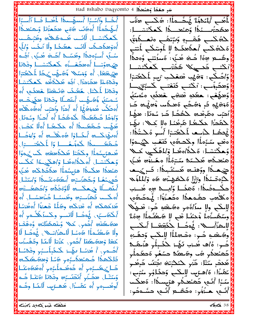مَمْ حَمْحًا مُحْتَمَىْلا Had Bshabo Daqyomto 4 أَحْسا وَأَيْسُرُا أَحْسِرُكُما أَهْلَا حُلّا أَيُّ إِ لْمُبِ ٱبْلَـٰدَٰٓهَٰٓا ۖ هُـٰكَـٰبِ ۞ ۚ وَقَات أَخْضَفُوا أُوهَنَ هَوْمٍ مِنْصَفَرْنَا وُحِمْمِهِ أَ هِهَدُّرُبِ مُمُّلٍ وَهِمُعِنَّمُ الْكَمِكْتَيْسَ لِ لْكَمْكْتَسْطِ. لَأْتُـب هُــوهُكْلُوه وهُرُبْهُـب لِمَاهُمْبِ فَقَدِهِ وَبَبْتَقُبِ وَتَمَلَّمُوْقُ أُووَهِكُمِكُما لِّلَّتِ حَقَّتُكُمْ وَلَّا أَنَّتَ وُاٰلَمُ أَهَكْشُكُمْ أَحْدَمَكُمْ لِلْمُؤْسَكِنِ لِمُتَنَبِ ممُسلِّي أَسْرُهِ دِهْلًا الْمَسْلِمِ الْأَصَافِ هُنِّي. أَقُسَم وهُــــم وهوُا حُـــه هُــَهُ: هُـــرُتتب وُهجدًا كَيْھوَيْسَا أُوھِكُمْسُوْهِ كَمَكْتِسْسَا وِثْلَالْا أثتب خُصبكا هَخَتْنِب كَمَكْتَسْط هِيَ هَمْدَا. أَه وَوْسًا وَوَهُ جُبِ رَحَلِ لَمَحْمَدَا وَٱصَّكُع : وَهَالِي هُلِمُكْتِ رَبِّ لَمَكْتَبَرَا وِثْلاَهُ مْلَّا مِدَّرْهَا . أَبُّه مَكْلَاثَه كَمكْتِسْلِّ وَهِجُرِؤُبٍ : ٱلْكُتَبِ كَنْعْتَبِ لَكُسْرَةٍ الْ ودْهْنَا لِمُحْبَا. هُعُبِيَّب هْنُبْعْتِنَا هْعِنْدِي أَه وُهِ هُمْ وَلَقْتُ وَهُدَاهُ وَاللَّهُ وَهُمَ وَاللَّهُ وَاللَّهُ وَالَّذِينَ وَاللَّهُ وَالَّهُ وَ سُمِّئْهُ وَهُنَّكَ أَسْكَنَّا وَثَلَالًا مِنْهَدَتُ ەُوْھُلِي كَمْ وْھُنْگَى ەْھْلَاسْ وْھْلُونْ كَـْمْ أُوصَكُ مُدوهُهُا أُو أَحزًا وَاحَبَ أُوهُوعُلُاهِ أَدَ<sub>َٰ</sub>ٮ ہمۡہِشہ حمۡھُدا کَۂ سُمنّا؛ ھھُا وَٰ)وَدًا شَعَّعَكُماْ لَكُمِعُدًا أَو أَدْرًا وشَمَّلَ. لمَعْجُل مكْتَعُا هُرِمُنَا وَلَا جُلاً: يَهْزَ هَٰذُ حَمَّعُـٰهُمُّا أَو حَكَّمُـا أُولًا حَصْـَر. هْدَهُمَا حَزْمِهِ لَمَحْمَدْ إِلَى أَسْرِ هُحَـتُدًا: أُەنۇ;ڭــە أَىكَـاۋا شُەڭْــە أَە وَازْخُــا ەھْب مَدُوْماًا وڭھەھُە كَنْقْب كَيْحَوُّا وَحِكْتَسْاً: هَٰكُمُّاهِ هَٰـا وَٱلْمَكَـٰـِي كَــلا مَّدعَى الْمَصْرَفَ الْمَكْمَلَاتِ مِنْكُمُ الْمَسْرَوِيَ مِنْ الْمَسْرَوْيَةِ مِنْ هنعكاه مُحْسَنُهُ سُتَوْمُلًا مِعْتَوْهُ مُحَرَّد وَحَكْتَشَاءَ أَوْحَكَٰاوَهُمَا وْاقْتَحِيْهَا خَطْبَ حيهما وؤهلته هستنسماً: تَسرِيهما هنُعداً مكتماً فَجَبِسْهاً مَكْتَكِمَكُمْ مُتَى لِحَوْدَسُمَا وَرْزَلَ مَكْتَمِنَّوْهِ وَهُ وَالْمَلَوَّلِا خُمِيسُهُا وُحَظَّوْجَهُمْ أَحْظَرُهُ عَنْجُمًا وَأَسْتَدَارِ. حكَـــوصُـــدأا: ةَعمُـــــــــــــــــــــــــــــــــوبِ أَمِنَكَ الْمَسْمَلَا مِنْ حَمْدَةٍ وَالْحَمْدَةِ وَالْحَمَدَةُ الْمُسْتَوْرَةِ أُهكَــد كَهزَّـــرْه وهُسئـــا كَــزْهنئـــا. أُه مَكْلُوبِ حَقَّـمَـمَدًا مَحَمَّـُوَّا: لِمُـمَصَّوَى هَربُدهكُم أَه مْزِيْكُمْ وَهَلَمْ شْعَرْوَا أُهْمَرْسًا لِلِّنْكُمْ وَلِلْ مَذَاةُدَمٍ دَهُنْفُلُو دُو: قَدْهُكُمْ أَكْتَفَـــِّي. هُوصًـا لَّاتَـــبِ وِكْسَلَكْــوبِ أَو وْمَشَاءُهَا وْحَنُنَا هَي لِلْ شَحْشُهِ أَلْمَاءَ لِمَعْنَاءَ لِ هدەً حَمْلَتُه أُشُمر. كَمْلا وُسْعَمَعُلْتُه وُهِقْشَة لِلْتَعْزَانِيَ فَالْمَسْتَاحِ الْحَفَقِيْسَاءِ أَنْكَتَبَ ولًا هَمْعُنُـماً ا هَمْـا لَلْمِعْزُاتِــلا . يُمْحُـا لَل وهُنْقُتِ دُنٍ : هَدْهَالُمَّا لِلْنَكْبِ وُصَفَّرْهِ كَعْدَا وْمِدْهُ بِمَكْنَا أُخْمِرٍ. كَنْتَا لِّلْبَنَّا وَكَفَّتْت حُــو: هُ/ُڡ هُــ;بِ نَهُــ; ـلكَــْبِلُو هُنُمَكَــدُ أُشْحِبِ. أَ هُٰٓئِـٰٓا لِّهَٰٓءَ كُلْمُّبِلَّاـِّبِرٍ وَكَلْنَـا كُعِنْعَكُمْ رَبُّ وَهُمْعَنُمْ حَمَّقُو هُجَعَّـٰهِ أَر كَالْكُمْلَا شُمْسُلَاتُومِ هَـُا وْمِهْتَفْتَكُ هَ هُدهُرِ مَتْلَا: كُنْهِ لِكَلابَتِهِ اجَّتَكَ كَرِهُتُو كَـاحْمَمُوا مُوَمَّدَ مَا مَعْ مَعْدَمَ مَعْنَ مِنْ مَعْدَمِينَ مِنْ مَعْدَمِينَ مِنْ مَعَّنُوا: هَ/عَـمَى الِمِكْبِ وَحَدَّاوُرِ مُبْرِبٍ: وَعَتْقَا. مَحَــَّنَىٰ أَنْحَبَّــٰهِ وَحْمَانَا اهْتَقَـا حُــَـَّـهِ مَنْ إِلَيْهِ حَمْتُهُمْ فَهُسَدًا: هَعْكَبَ أُوهُـبوم أو عَقَبُرًا. هُـفـرَى للنَّا وحُـد أَلَسَمِ حَسَنُوَٰنٍ : هَجَّصْبِ النَّسِمِ حَسَّـهِجَٰنٍ :

تلناهم للإتلاكم بمابة بلافعلة